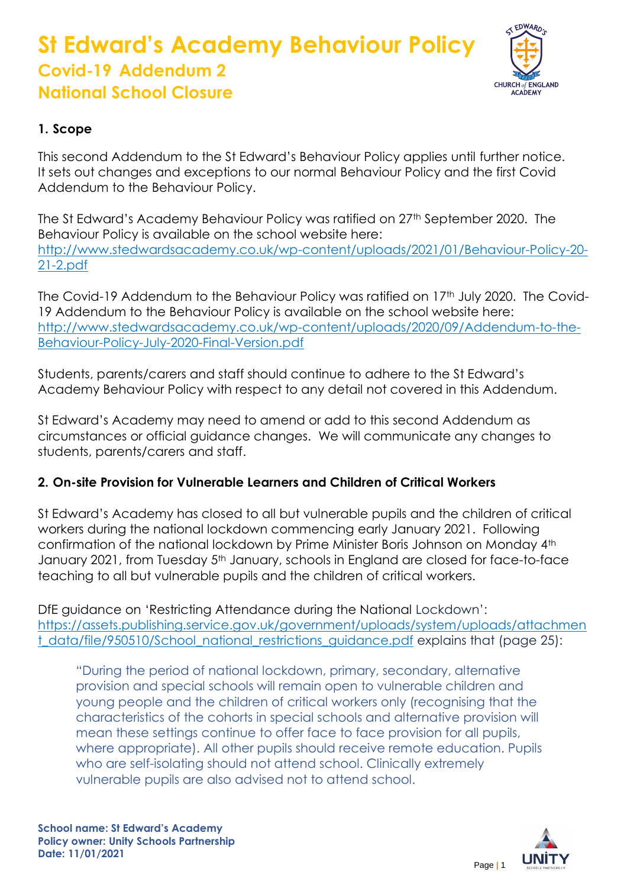# **St Edward's Academy Behaviour Policy Covid-19 Addendum 2 National School Closure**



## **1. Scope**

This second Addendum to the St Edward's Behaviour Policy applies until further notice. It sets out changes and exceptions to our normal Behaviour Policy and the first Covid Addendum to the Behaviour Policy.

The St Edward's Academy Behaviour Policy was ratified on 27<sup>th</sup> September 2020. The Behaviour Policy is available on the school website here: [http://www.stedwardsacademy.co.uk/wp-content/uploads/2021/01/Behaviour-Policy-20-](http://www.stedwardsacademy.co.uk/wp-content/uploads/2021/01/Behaviour-Policy-20-21-2.pdf) [21-2.pdf](http://www.stedwardsacademy.co.uk/wp-content/uploads/2021/01/Behaviour-Policy-20-21-2.pdf)

The Covid-19 Addendum to the Behaviour Policy was ratified on 17<sup>th</sup> July 2020. The Covid-19 Addendum to the Behaviour Policy is available on the school website here: [http://www.stedwardsacademy.co.uk/wp-content/uploads/2020/09/Addendum-to-the-](http://www.stedwardsacademy.co.uk/wp-content/uploads/2020/09/Addendum-to-the-Behaviour-Policy-July-2020-Final-Version.pdf)[Behaviour-Policy-July-2020-Final-Version.pdf](http://www.stedwardsacademy.co.uk/wp-content/uploads/2020/09/Addendum-to-the-Behaviour-Policy-July-2020-Final-Version.pdf)

Students, parents/carers and staff should continue to adhere to the St Edward's Academy Behaviour Policy with respect to any detail not covered in this Addendum.

St Edward's Academy may need to amend or add to this second Addendum as circumstances or official guidance changes. We will communicate any changes to students, parents/carers and staff.

## **2. On-site Provision for Vulnerable Learners and Children of Critical Workers**

St Edward's Academy has closed to all but vulnerable pupils and the children of critical workers during the national lockdown commencing early January 2021. Following confirmation of the national lockdown by Prime Minister Boris Johnson on Monday 4th January 2021, from Tuesday 5<sup>th</sup> January, schools in England are closed for face-to-face teaching to all but vulnerable pupils and the children of critical workers.

DfE guidance on 'Restricting Attendance during the National Lockdown': [https://assets.publishing.service.gov.uk/government/uploads/system/uploads/attachmen](https://assets.publishing.service.gov.uk/government/uploads/system/uploads/attachment_data/file/950510/School_national_restrictions_guidance.pdf) [t\\_data/file/950510/School\\_national\\_restrictions\\_guidance.pdf](https://assets.publishing.service.gov.uk/government/uploads/system/uploads/attachment_data/file/950510/School_national_restrictions_guidance.pdf) explains that (page 25):

"During the period of national lockdown, primary, secondary, alternative provision and special schools will remain open to vulnerable children and young people and the children of critical workers only (recognising that the characteristics of the cohorts in special schools and alternative provision will mean these settings continue to offer face to face provision for all pupils, where appropriate). All other pupils should receive remote education. Pupils who are self-isolating should not attend school. Clinically extremely vulnerable pupils are also advised not to attend school.

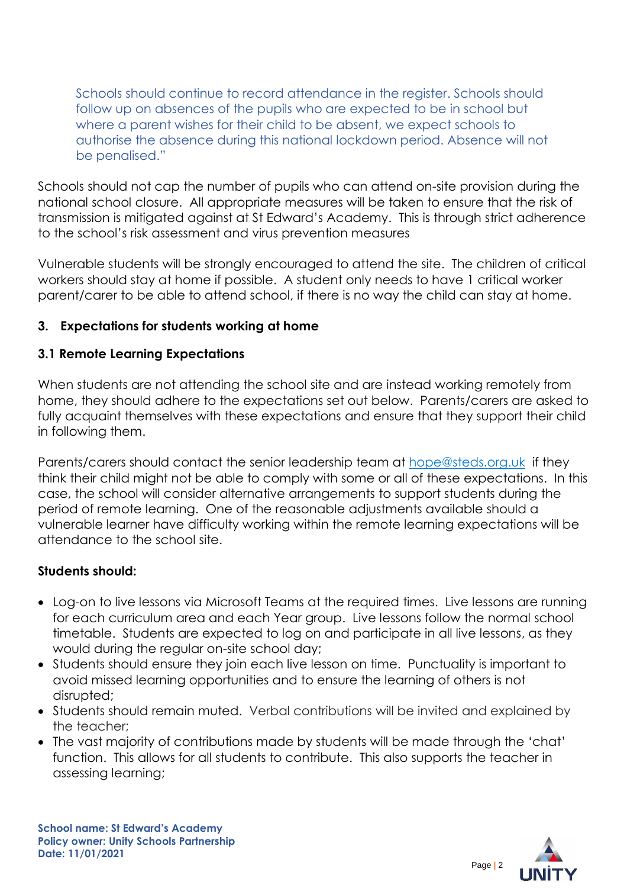Schools should continue to record attendance in the register. Schools should follow up on absences of the pupils who are expected to be in school but where a parent wishes for their child to be absent, we expect schools to authorise the absence during this national lockdown period. Absence will not be penalised."

Schools should not cap the number of pupils who can attend on-site provision during the national school closure. All appropriate measures will be taken to ensure that the risk of transmission is mitigated against at St Edward's Academy. This is through strict adherence to the school's risk assessment and virus prevention measures

Vulnerable students will be strongly encouraged to attend the site. The children of critical workers should stay at home if possible. A student only needs to have 1 critical worker parent/carer to be able to attend school, if there is no way the child can stay at home.

#### **3. Expectations for students working at home**

#### **3.1 Remote Learning Expectations**

When students are not attending the school site and are instead working remotely from home, they should adhere to the expectations set out below. Parents/carers are asked to fully acquaint themselves with these expectations and ensure that they support their child in following them.

Parents/carers should contact the senior leadership team at [hope@steds.org.uk](mailto:hope@steds.org.uk) if they think their child might not be able to comply with some or all of these expectations. In this case, the school will consider alternative arrangements to support students during the period of remote learning. One of the reasonable adjustments available should a vulnerable learner have difficulty working within the remote learning expectations will be attendance to the school site.

#### **Students should:**

- Log-on to live lessons via Microsoft Teams at the required times. Live lessons are running for each curriculum area and each Year group. Live lessons follow the normal school timetable. Students are expected to log on and participate in all live lessons, as they would during the regular on-site school day;
- Students should ensure they join each live lesson on time. Punctuality is important to avoid missed learning opportunities and to ensure the learning of others is not disrupted;
- Students should remain muted. Verbal contributions will be invited and explained by the teacher;
- The vast majority of contributions made by students will be made through the 'chat' function. This allows for all students to contribute. This also supports the teacher in assessing learning;

**School name: St Edward's Academy Policy owner: Unity Schools Partnership Date: 11/01/2021**